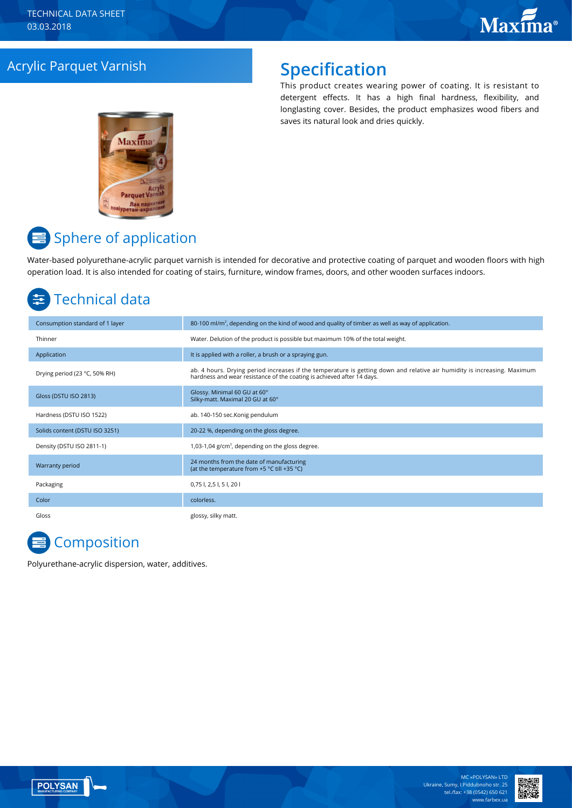### Acrylic Parquet Varnish **Specification**

This product creates wearing power of coating. It is resistant to detergent effects. It has a high final hardness, flexibility, and longlasting cover. Besides, the product emphasizes wood fibers and saves its natural look and dries quickly.



# $\equiv$  Sphere of application

Water-based polyurethane-acrylic parquet varnish is intended for decorative and protective coating of parquet and wooden floors with high operation load. It is also intended for coating of stairs, furniture, window frames, doors, and other wooden surfaces indoors.

# Technical data

| Consumption standard of 1 layer | 80-100 ml/m <sup>2</sup> , depending on the kind of wood and quality of timber as well as way of application.                                                                                      |
|---------------------------------|----------------------------------------------------------------------------------------------------------------------------------------------------------------------------------------------------|
| Thinner                         | Water. Delution of the product is possible but maximum 10% of the total weight.                                                                                                                    |
| Application                     | It is applied with a roller, a brush or a spraying gun.                                                                                                                                            |
| Drying period (23 °C, 50% RH)   | ab. 4 hours. Drying period increases if the temperature is getting down and relative air humidity is increasing. Maximum<br>hardness and wear resistance of the coating is achieved after 14 days. |
| Gloss (DSTU ISO 2813)           | Glossy. Minimal 60 GU at 60°<br>Silky-matt. Maximal 20 GU at 60°                                                                                                                                   |
| Hardness (DSTU ISO 1522)        | ab. 140-150 sec.Konig pendulum                                                                                                                                                                     |
| Solids content (DSTU ISO 3251)  | 20-22 %, depending on the gloss degree.                                                                                                                                                            |
| Density (DSTU ISO 2811-1)       | 1,03-1,04 $g/cm3$ , depending on the gloss degree.                                                                                                                                                 |
| Warranty period                 | 24 months from the date of manufacturing<br>(at the temperature from +5 °C till +35 °C)                                                                                                            |
| Packaging                       | 0,75 l, 2,5 l, 5 l, 20 l                                                                                                                                                                           |
| Color                           | colorless.                                                                                                                                                                                         |
| Gloss                           | glossy, silky matt.                                                                                                                                                                                |

# **E** Composition

Polyurethane-acrylic dispersion, water, additives.